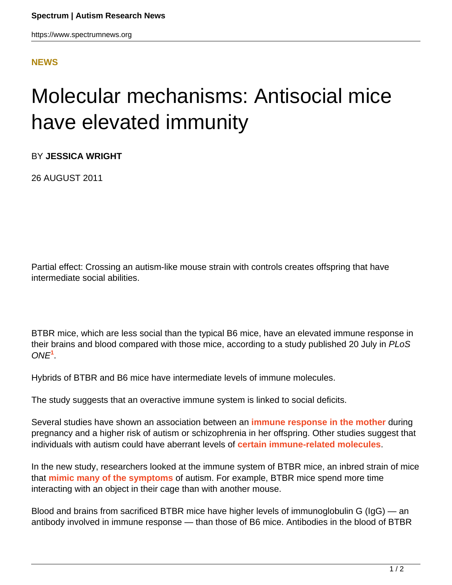https://www.spectrumnews.org

## **[NEWS](HTTPS://WWW.SPECTRUMNEWS.ORG/NEWS/)**

## Molecular mechanisms: Antisocial mice have elevated immunity

BY **JESSICA WRIGHT**

26 AUGUST 2011

Partial effect: Crossing an autism-like mouse strain with controls creates offspring that have intermediate social abilities.

BTBR mice, which are less social than the typical B6 mice, have an elevated immune response in their brains and blood compared with those mice, according to a study published 20 July in PLoS ONE**<sup>1</sup>** .

Hybrids of BTBR and B6 mice have intermediate levels of immune molecules.

The study suggests that an overactive immune system is linked to social deficits.

Several studies have shown an association between an **[immune response in the mother](https://www.spectrumnews.org/news/2011/mothers-immune-response-alters-brain-structure)** during pregnancy and a higher risk of autism or schizophrenia in her offspring. Other studies suggest that individuals with autism could have aberrant levels of **[certain immune-related molecules](https://www.spectrumnews.org/news/2011/autism-and-fragile-x-feature-immune-signatures)**.

In the new study, researchers looked at the immune system of BTBR mice, an inbred strain of mice that **[mimic many of the symptoms](https://www.spectrumnews.org/conference-news/2011/sfn-2010/asocial-btbr-strain-is-autistic-mouse-researcher-claims)** of autism. For example, BTBR mice spend more time interacting with an object in their cage than with another mouse.

Blood and brains from sacrificed BTBR mice have higher levels of immunoglobulin G (IgG) — an antibody involved in immune response — than those of B6 mice. Antibodies in the blood of BTBR